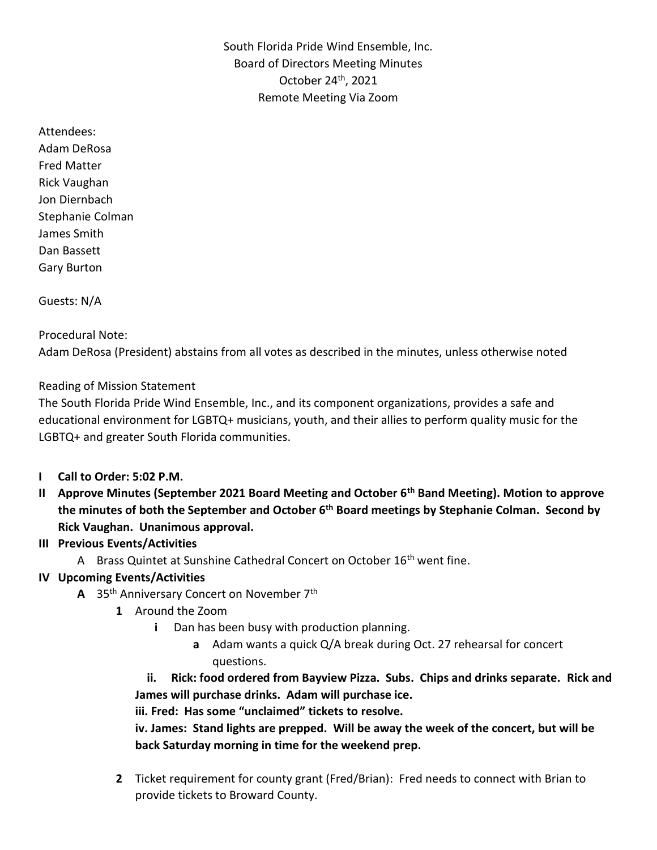South Florida Pride Wind Ensemble, Inc. Board of Directors Meeting Minutes October 24th, 2021 Remote Meeting Via Zoom

Attendees: Adam DeRosa Fred Matter Rick Vaughan Jon Diernbach Stephanie Colman James Smith Dan Bassett Gary Burton

Guests: N/A

### Procedural Note:

Adam DeRosa (President) abstains from all votes as described in the minutes, unless otherwise noted

### Reading of Mission Statement

The South Florida Pride Wind Ensemble, Inc., and its component organizations, provides a safe and educational environment for LGBTQ+ musicians, youth, and their allies to perform quality music for the LGBTQ+ and greater South Florida communities.

- **I Call to Order: 5:02 P.M.**
- **II Approve Minutes (September 2021 Board Meeting and October 6th Band Meeting). Motion to approve the minutes of both the September and October 6th Board meetings by Stephanie Colman. Second by Rick Vaughan. Unanimous approval.**

#### **III Previous Events/Activities**

A Brass Quintet at Sunshine Cathedral Concert on October 16<sup>th</sup> went fine.

### **IV Upcoming Events/Activities**

- **A** 35th Anniversary Concert on November 7th
	- **1** Around the Zoom
		- **i** Dan has been busy with production planning.
			- **a** Adam wants a quick Q/A break during Oct. 27 rehearsal for concert questions.

## **ii. Rick: food ordered from Bayview Pizza. Subs. Chips and drinks separate. Rick and James will purchase drinks. Adam will purchase ice.**

**iii. Fred: Has some "unclaimed" tickets to resolve.** 

**iv. James: Stand lights are prepped. Will be away the week of the concert, but will be back Saturday morning in time for the weekend prep.** 

**2** Ticket requirement for county grant (Fred/Brian): Fred needs to connect with Brian to provide tickets to Broward County.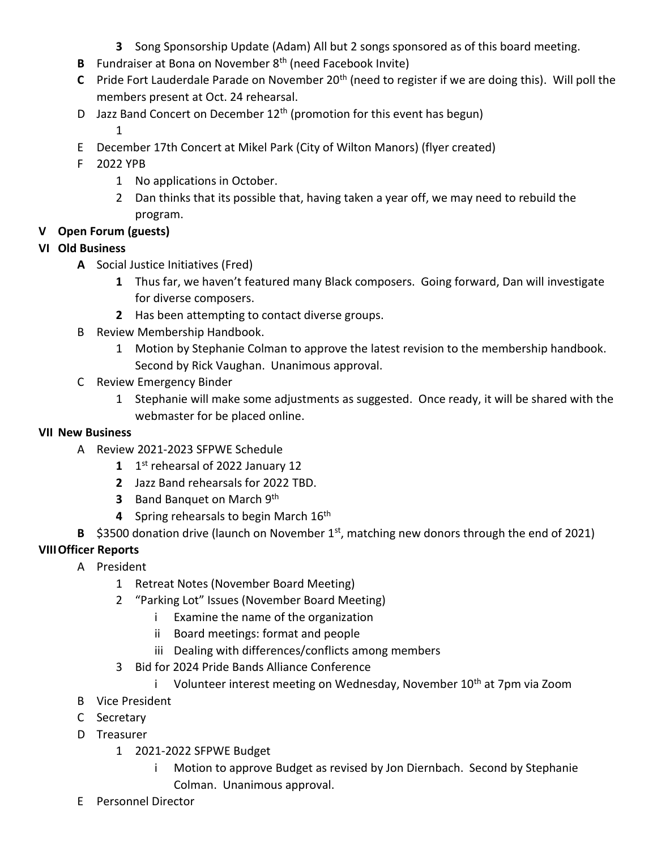- **3** Song Sponsorship Update (Adam) All but 2 songs sponsored as of this board meeting.
- **B** Fundraiser at Bona on November 8<sup>th</sup> (need Facebook Invite)
- **C** Pride Fort Lauderdale Parade on November 20<sup>th</sup> (need to register if we are doing this). Will poll the members present at Oct. 24 rehearsal.
- D Jazz Band Concert on December  $12<sup>th</sup>$  (promotion for this event has begun) 1
- E December 17th Concert at Mikel Park (City of Wilton Manors) (flyer created)
- F 2022 YPB
	- 1 No applications in October.
	- 2 Dan thinks that its possible that, having taken a year off, we may need to rebuild the program.
- **V Open Forum (guests)**

### **VI Old Business**

- **A** Social Justice Initiatives (Fred)
	- **1** Thus far, we haven't featured many Black composers. Going forward, Dan will investigate for diverse composers.
	- **2** Has been attempting to contact diverse groups.
- B Review Membership Handbook.
	- 1 Motion by Stephanie Colman to approve the latest revision to the membership handbook. Second by Rick Vaughan. Unanimous approval.
- C Review Emergency Binder
	- 1 Stephanie will make some adjustments as suggested. Once ready, it will be shared with the webmaster for be placed online.

#### **VII New Business**

- A Review 2021-2023 SFPWE Schedule
	- **1** 1 st rehearsal of 2022 January 12
	- **2** Jazz Band rehearsals for 2022 TBD.
	- **3** Band Banquet on March 9<sup>th</sup>
	- **4** Spring rehearsals to begin March 16th
- **B** \$3500 donation drive (launch on November 1<sup>st</sup>, matching new donors through the end of 2021)

### **VIIIOfficer Reports**

- A President
	- 1 Retreat Notes (November Board Meeting)
	- 2 "Parking Lot" Issues (November Board Meeting)
		- i Examine the name of the organization
		- ii Board meetings: format and people
		- iii Dealing with differences/conflicts among members
	- 3 Bid for 2024 Pride Bands Alliance Conference
		- i Volunteer interest meeting on Wednesday, November  $10<sup>th</sup>$  at 7pm via Zoom
- B Vice President
- C Secretary
- D Treasurer
	- 1 2021-2022 SFPWE Budget
		- i Motion to approve Budget as revised by Jon Diernbach. Second by Stephanie Colman. Unanimous approval.
- E Personnel Director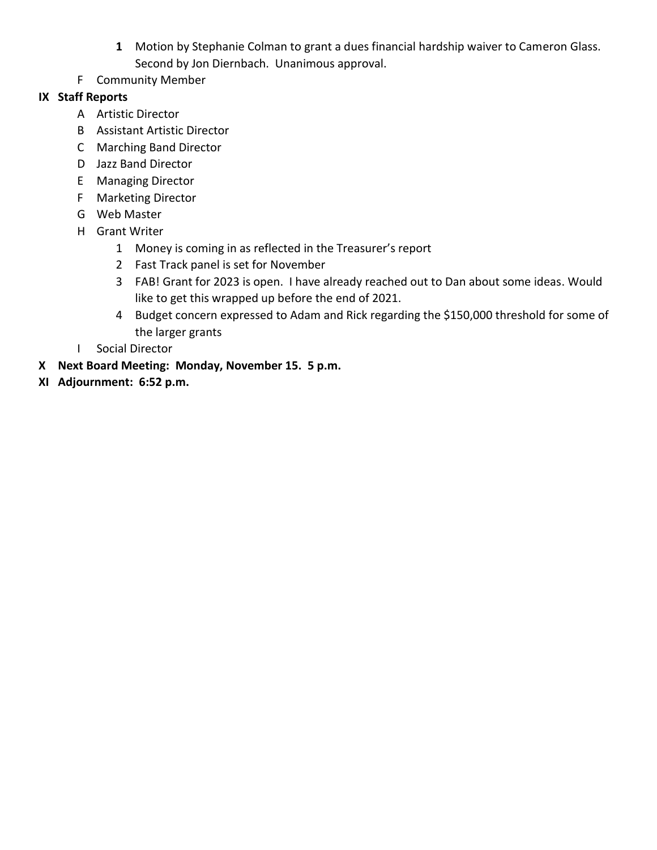- **1** Motion by Stephanie Colman to grant a dues financial hardship waiver to Cameron Glass. Second by Jon Diernbach. Unanimous approval.
- F Community Member

# **IX Staff Reports**

- A Artistic Director
- B Assistant Artistic Director
- C Marching Band Director
- D Jazz Band Director
- E Managing Director
- F Marketing Director
- G Web Master
- H Grant Writer
	- 1 Money is coming in as reflected in the Treasurer's report
	- 2 Fast Track panel is set for November
	- 3 FAB! Grant for 2023 is open. I have already reached out to Dan about some ideas. Would like to get this wrapped up before the end of 2021.
	- 4 Budget concern expressed to Adam and Rick regarding the \$150,000 threshold for some of the larger grants
- I Social Director
- **X Next Board Meeting: Monday, November 15. 5 p.m.**
- **XI Adjournment: 6:52 p.m.**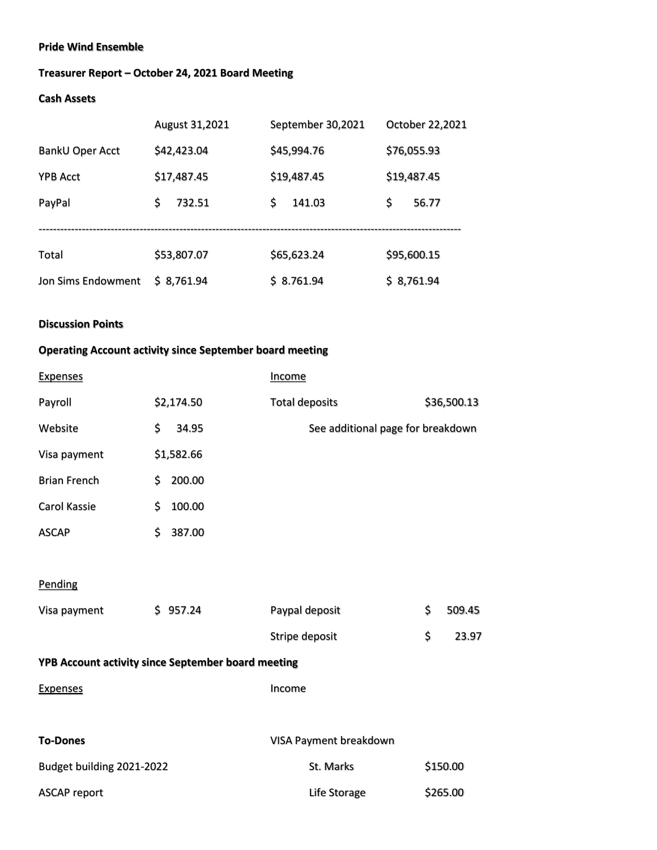#### **Pride Wind Ensemble**

### **Treasurer Report – October 24, 2021 Board Meeting**

#### **Cash Assets**

|                    | August 31,2021 | September 30,2021 | October 22,2021 |
|--------------------|----------------|-------------------|-----------------|
| BankU Oper Acct    | \$42,423.04    | \$45,994.76       | \$76,055.93     |
| <b>YPB Acct</b>    | \$17,487.45    | \$19,487.45       | \$19,487.45     |
| PayPal             | \$<br>732.51   | \$.<br>141.03     | \$<br>56.77     |
|                    |                |                   |                 |
| Total              | \$53,807.07    | \$65,623.24       | \$95,600.15     |
| Jon Sims Endowment | \$8,761.94     | \$8.761.94        | \$8,761.94      |

#### **Discussion Points**

# **Operating Account activity since September board meeting**

| <b>Expenses</b>                                    |    |            | <b>Income</b>                     |              |
|----------------------------------------------------|----|------------|-----------------------------------|--------------|
| Payroll                                            |    | \$2,174.50 | <b>Total deposits</b>             | \$36,500.13  |
| Website                                            | \$ | 34.95      | See additional page for breakdown |              |
| Visa payment                                       |    | \$1,582.66 |                                   |              |
| <b>Brian French</b>                                | \$ | 200.00     |                                   |              |
| Carol Kassie                                       | \$ | 100.00     |                                   |              |
| <b>ASCAP</b>                                       | \$ | 387.00     |                                   |              |
|                                                    |    |            |                                   |              |
| Pending                                            |    |            |                                   |              |
| Visa payment                                       |    | \$957.24   | Paypal deposit                    | \$<br>509.45 |
|                                                    |    |            | Stripe deposit                    | \$<br>23.97  |
| YPB Account activity since September board meeting |    |            |                                   |              |
| <b>Expenses</b>                                    |    |            | Income                            |              |
|                                                    |    |            |                                   |              |
| <b>To-Dones</b>                                    |    |            | VISA Payment breakdown            |              |

| Budget building 2021-2022 | St. Marks    | \$150.00 |
|---------------------------|--------------|----------|
| ASCAP report              | Life Storage | \$265.00 |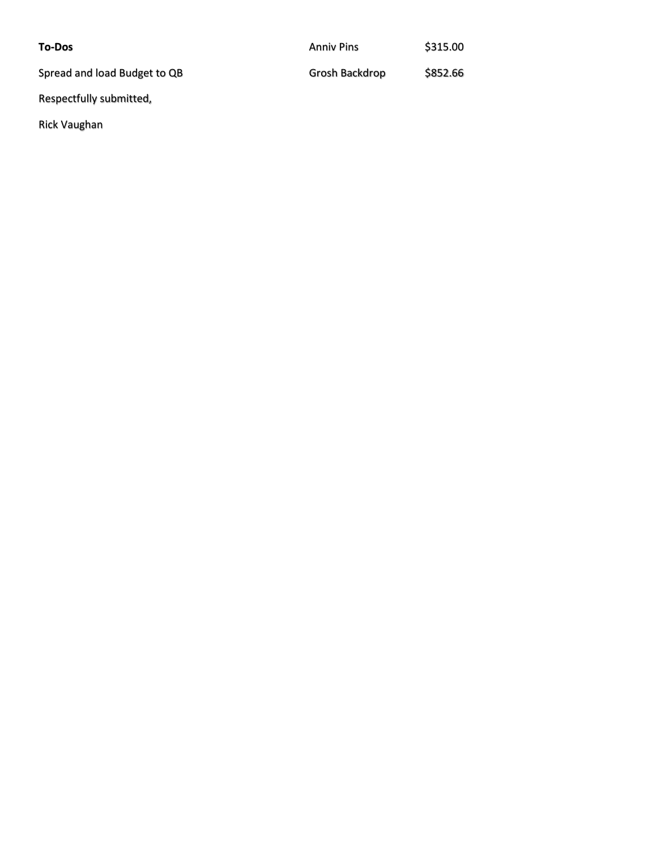| <b>To-Dos</b>                | <b>Anniy Pins</b> | \$315.00 |
|------------------------------|-------------------|----------|
| Spread and load Budget to QB | Grosh Backdrop    | \$852.66 |
| Respectfully submitted,      |                   |          |

Rick Vaughan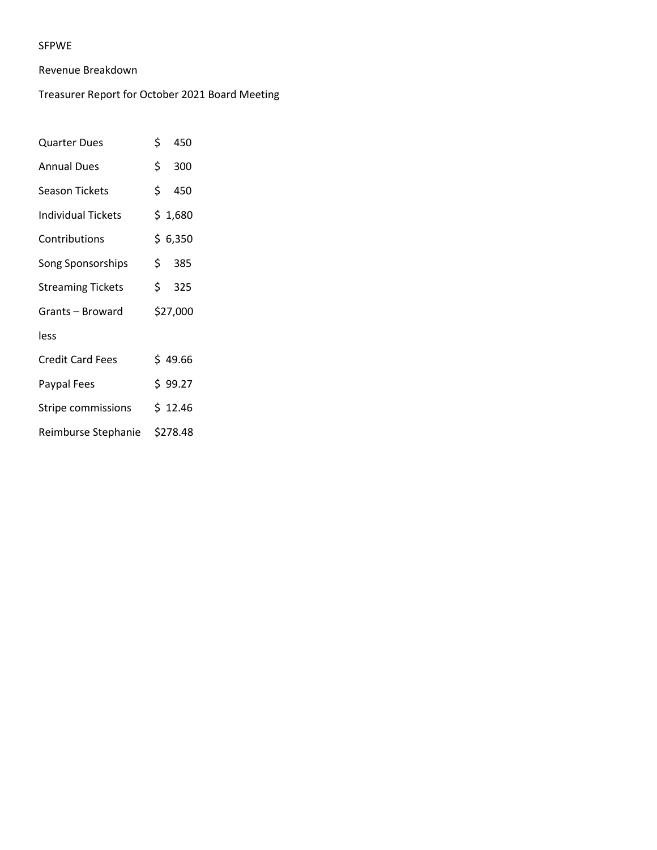#### SFPWE

#### Revenue Breakdown

#### Treasurer Report for October 2021 Board Meeting

| Quarter Dues              | \$ 450   |
|---------------------------|----------|
| <b>Annual Dues</b>        | \$300    |
| <b>Season Tickets</b>     | \$450    |
| <b>Individual Tickets</b> | \$1,680  |
| Contributions             | \$6,350  |
| Song Sponsorships         | \$385    |
| <b>Streaming Tickets</b>  | \$325    |
| Grants – Broward          | \$27,000 |
| less                      |          |
| <b>Credit Card Fees</b>   | \$49.66  |
| Paypal Fees               | \$99.27  |
| Stripe commissions        | \$12.46  |
| Reimburse Stephanie       | \$278.48 |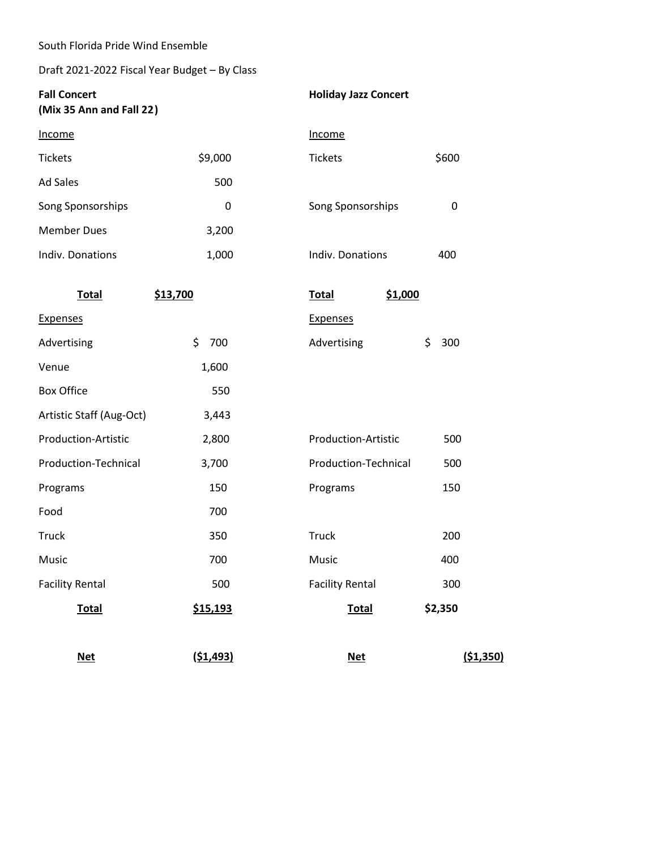South Florida Pride Wind Ensemble

### Draft 2021-2022 Fiscal Year Budget – By Class

| <b>Fall Concert</b><br>(Mix 35 Ann and Fall 22) |           | <b>Holiday Jazz Concert</b> |             |
|-------------------------------------------------|-----------|-----------------------------|-------------|
| <b>Income</b>                                   |           | Income                      |             |
| <b>Tickets</b>                                  | \$9,000   | <b>Tickets</b>              | \$600       |
| <b>Ad Sales</b>                                 | 500       |                             |             |
| Song Sponsorships                               | 0         | Song Sponsorships           | $\mathbf 0$ |
| <b>Member Dues</b>                              | 3,200     |                             |             |
| Indiv. Donations                                | 1,000     | Indiv. Donations            | 400         |
| <b>Total</b>                                    | \$13,700  | \$1,000<br><b>Total</b>     |             |
| <b>Expenses</b>                                 |           | <b>Expenses</b>             |             |
| Advertising                                     | \$<br>700 | Advertising                 | \$<br>300   |
| Venue                                           | 1,600     |                             |             |
| <b>Box Office</b>                               | 550       |                             |             |
| Artistic Staff (Aug-Oct)                        | 3,443     |                             |             |
| Production-Artistic                             | 2,800     | Production-Artistic         | 500         |
| Production-Technical                            | 3,700     | Production-Technical        | 500         |
| Programs                                        | 150       | Programs                    | 150         |
| Food                                            | 700       |                             |             |
| <b>Truck</b>                                    | 350       | Truck                       | 200         |
| Music                                           | 700       | Music                       | 400         |
| <b>Facility Rental</b>                          | 500       | <b>Facility Rental</b>      | 300         |
| <b>Total</b>                                    | \$15,193  | <b>Total</b>                | \$2,350     |
| <b>Net</b>                                      | (51, 493) | <b>Net</b>                  | (51,350)    |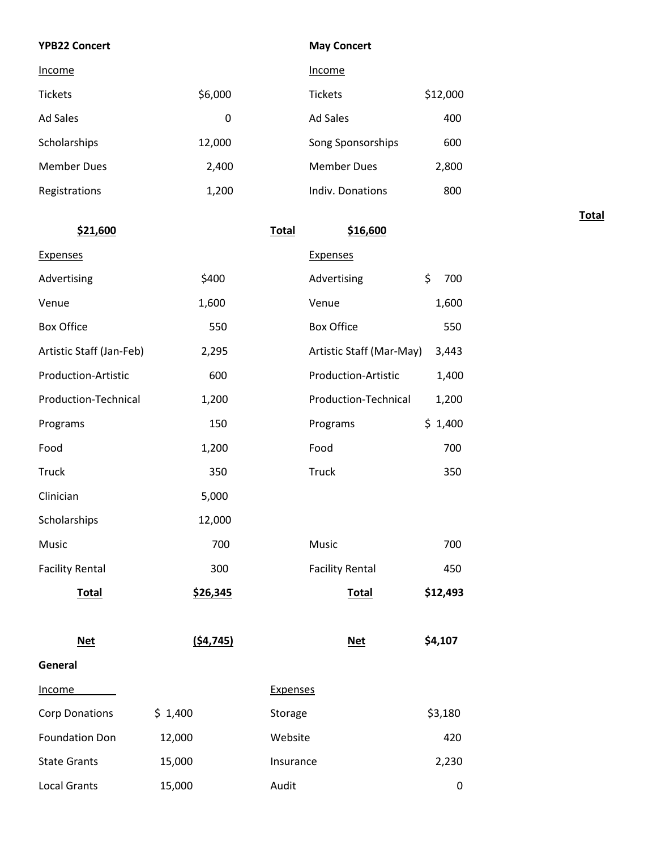#### **May Concert**

| Income             |         | Income             |          |
|--------------------|---------|--------------------|----------|
| <b>Tickets</b>     | \$6,000 | <b>Tickets</b>     | \$12,000 |
| Ad Sales           | 0       | Ad Sales           | 400      |
| Scholarships       | 12,000  | Song Sponsorships  | 600      |
| <b>Member Dues</b> | 2,400   | <b>Member Dues</b> | 2,800    |
| Registrations      | 1,200   | Indiv. Donations   | 800      |
|                    |         |                    |          |

**\$21,600 Total \$16,600** Expenses Expenses Advertising \$400 Advertising \$ 700 Venue 1,600 Venue 1,600 Box Office 550 Box Office 550 Artistic Staff (Jan-Feb) 2,295 Artistic Staff (Mar-May) 3,443 Production-Artistic 600 Production-Artistic 1,400 Production-Technical 1,200 Production-Technical 1,200 Programs \$ 1,400 Food 1,200 Food 700 Truck 350 Truck 350 Clinician 5,000 Scholarships 12,000 Music 700 Music 700 Facility Rental **300** Facility Rental 450 **Total \$26,345 Total \$12,493 Net (\$4,745) Net \$4,107 General** Income Expenses  $\text{Corp}$  Donations  $\text{S}$  1,400  $\text{Storage}$   $\text{S}$  3,180 Foundation Don 12,000 Website 420 State Grants 15,000 Insurance 2,230 Local Grants 15,000 Audit 15,000 Audit 15,000 Audit 15,000 Audit 15,000 Audit 16,000 Audit 16,000 Audit 16,000 **Total**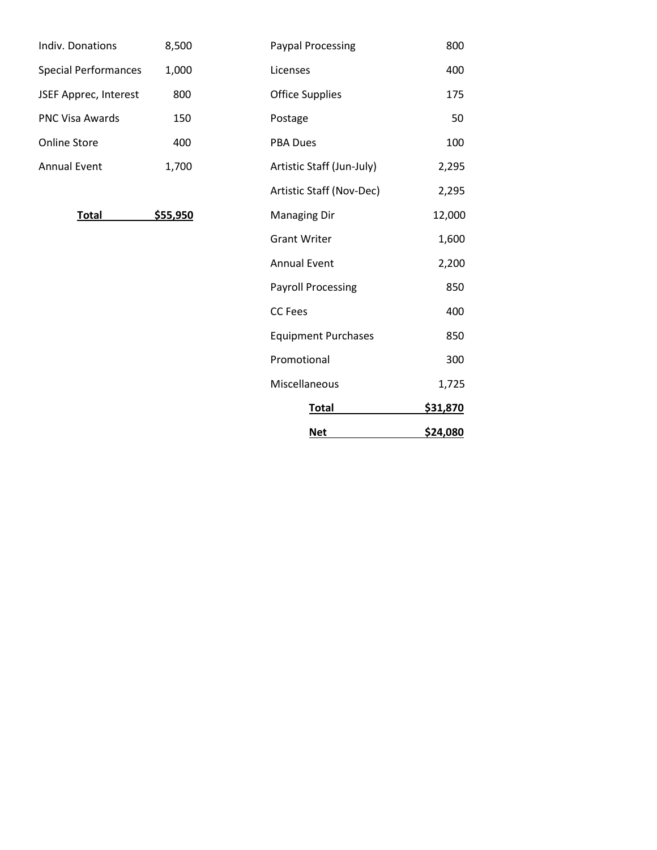| Indiv. Donations            | 8,500 |
|-----------------------------|-------|
| <b>Special Performances</b> | 1,000 |
| JSEF Apprec, Interest       | 800   |
| <b>PNC Visa Awards</b>      | 150   |
| Online Store                | 400   |
| <b>Annual Event</b>         | 1,700 |

|                             |          | <b>Net</b>                 | \$24,080 |
|-----------------------------|----------|----------------------------|----------|
|                             |          | <b>Total</b>               | \$31,870 |
|                             |          | Miscellaneous              | 1,725    |
|                             |          | Promotional                | 300      |
|                             |          | <b>Equipment Purchases</b> | 850      |
|                             |          | <b>CC</b> Fees             | 400      |
|                             |          | <b>Payroll Processing</b>  | 850      |
|                             |          | <b>Annual Event</b>        | 2,200    |
|                             |          | <b>Grant Writer</b>        | 1,600    |
| <b>Total</b>                | \$55,950 | <b>Managing Dir</b>        | 12,000   |
|                             |          | Artistic Staff (Nov-Dec)   | 2,295    |
| <b>Annual Event</b>         | 1,700    | Artistic Staff (Jun-July)  | 2,295    |
| <b>Online Store</b>         | 400      | <b>PBA Dues</b>            | 100      |
| <b>PNC Visa Awards</b>      | 150      | Postage                    | 50       |
| JSEF Apprec, Interest       | 800      | <b>Office Supplies</b>     | 175      |
| <b>Special Performances</b> | 1,000    | Licenses                   | 400      |
| Indiv. Donations            | 8,500    | <b>Paypal Processing</b>   | 800      |